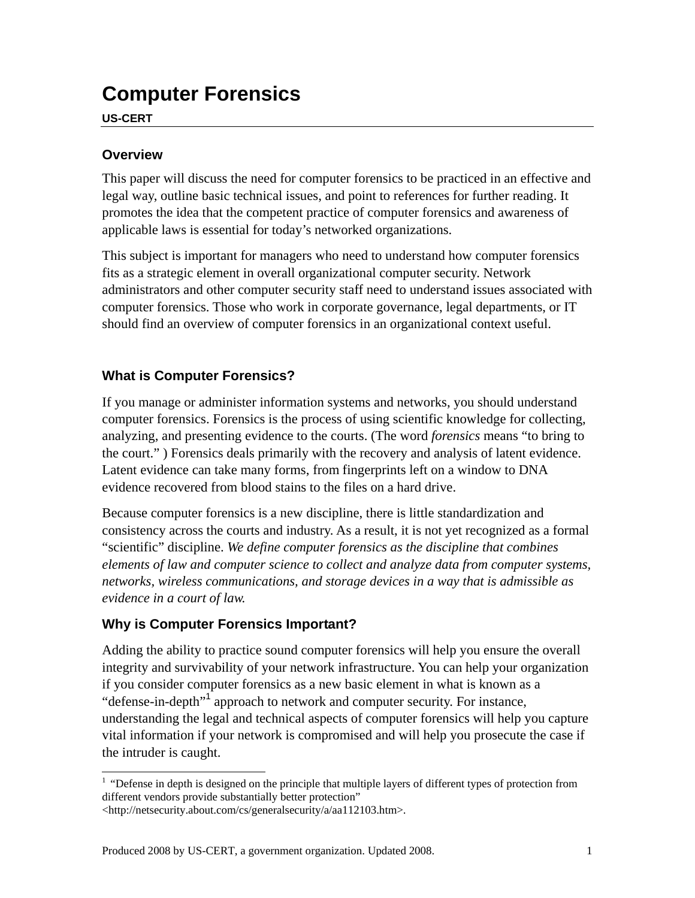# **Computer Forensics**

#### **US-CERT**

#### **Overview**

l

This paper will discuss the need for computer forensics to be practiced in an effective and legal way, outline basic technical issues, and point to references for further reading. It promotes the idea that the competent practice of computer forensics and awareness of applicable laws is essential for today's networked organizations.

This subject is important for managers who need to understand how computer forensics fits as a strategic element in overall organizational computer security. Network administrators and other computer security staff need to understand issues associated with computer forensics. Those who work in corporate governance, legal departments, or IT should find an overview of computer forensics in an organizational context useful.

# **What is Computer Forensics?**

If you manage or administer information systems and networks, you should understand computer forensics. Forensics is the process of using scientific knowledge for collecting, analyzing, and presenting evidence to the courts. (The word *forensics* means "to bring to the court." ) Forensics deals primarily with the recovery and analysis of latent evidence. Latent evidence can take many forms, from fingerprints left on a window to DNA evidence recovered from blood stains to the files on a hard drive.

 *evidence in a court of law.* Because computer forensics is a new discipline, there is little standardization and consistency across the courts and industry. As a result, it is not yet recognized as a formal "scientific" discipline. *We define computer forensics as the discipline that combines elements of law and computer science to collect and analyze data from computer systems, networks, wireless communications, and storage devices in a way that is admissible as* 

# **Why is Computer Forensics Important?**

Adding the ability to practice sound computer forensics will help you ensure the overall integrity and survivability of your network infrastructure. You can help your organization if you consider computer forensics as a new basic element in what is known as a "defense-in-depth"<sup>1</sup> approach to network and computer security. For instance, understanding the legal and technical aspects of computer forensics will help you capture vital information if your network is compromised and will help you prosecute the case if the intruder is caught.

 $<sup>1</sup>$  "Defense in depth is designed on the principle that multiple layers of different types of protection from</sup> different vendors provide substantially better protection"

<sup>&</sup>lt;http://netsecurity.about.com/cs/generalsecurity/a/aa112103.htm>.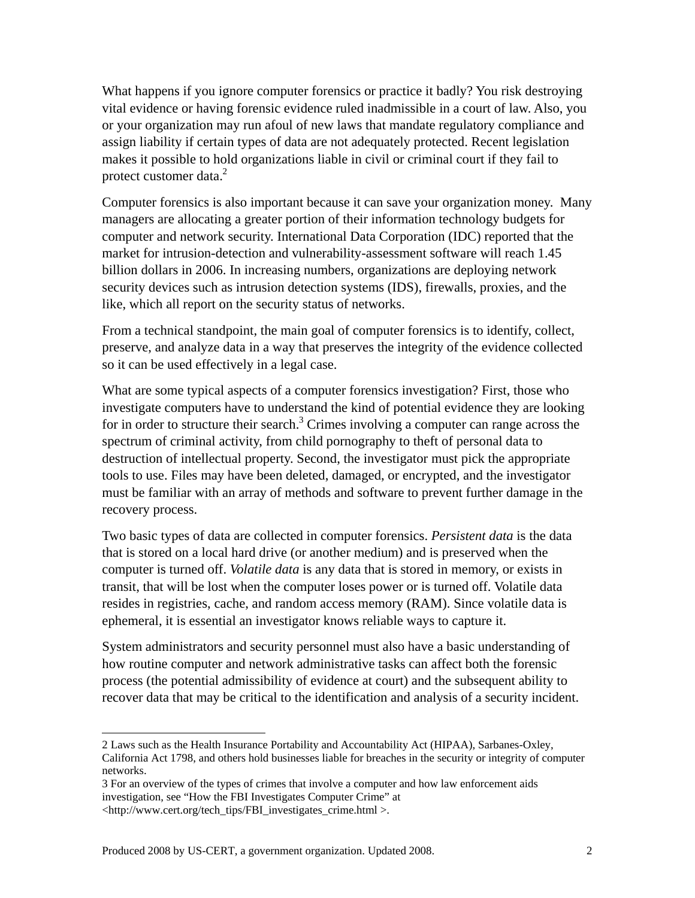What happens if you ignore computer forensics or practice it badly? You risk destroying vital evidence or having forensic evidence ruled inadmissible in a court of law. Also, you or your organization may run afoul of new laws that mandate regulatory compliance and assign liability if certain types of data are not adequately protected. Recent legislation makes it possible to hold organizations liable in civil or criminal court if they fail to protect customer data. $2$ 

Computer forensics is also important because it can save your organization money. Many managers are allocating a greater portion of their information technology budgets for computer and network security. International Data Corporation (IDC) reported that the market for intrusion-detection and vulnerability-assessment software will reach 1.45 billion dollars in 2006. In increasing numbers, organizations are deploying network security devices such as intrusion detection systems (IDS), firewalls, proxies, and the like, which all report on the security status of networks.

From a technical standpoint, the main goal of computer forensics is to identify, collect, preserve, and analyze data in a way that preserves the integrity of the evidence collected so it can be used effectively in a legal case.

What are some typical aspects of a computer forensics investigation? First, those who investigate computers have to understand the kind of potential evidence they are looking for in order to structure their search.<sup>3</sup> Crimes involving a computer can range across the spectrum of criminal activity, from child pornography to theft of personal data to destruction of intellectual property. Second, the investigator must pick the appropriate tools to use. Files may have been deleted, damaged, or encrypted, and the investigator must be familiar with an array of methods and software to prevent further damage in the recovery process.

Two basic types of data are collected in computer forensics. *Persistent data* is the data that is stored on a local hard drive (or another medium) and is preserved when the computer is turned off. *Volatile data* is any data that is stored in memory, or exists in transit, that will be lost when the computer loses power or is turned off. Volatile data resides in registries, cache, and random access memory (RAM). Since volatile data is ephemeral, it is essential an investigator knows reliable ways to capture it.

System administrators and security personnel must also have a basic understanding of how routine computer and network administrative tasks can affect both the forensic process (the potential admissibility of evidence at court) and the subsequent ability to recover data that may be critical to the identification and analysis of a security incident.

l

<sup>2</sup> Laws such as the Health Insurance Portability and Accountability Act (HIPAA), Sarbanes-Oxley, California Act 1798, and others hold businesses liable for breaches in the security or integrity of computer networks.

<sup>3</sup> For an overview of the types of crimes that involve a computer and how law enforcement aids investigation, see "How the FBI Investigates Computer Crime" at <http://www.cert.org/tech\_tips/FBI\_investigates\_crime.html >.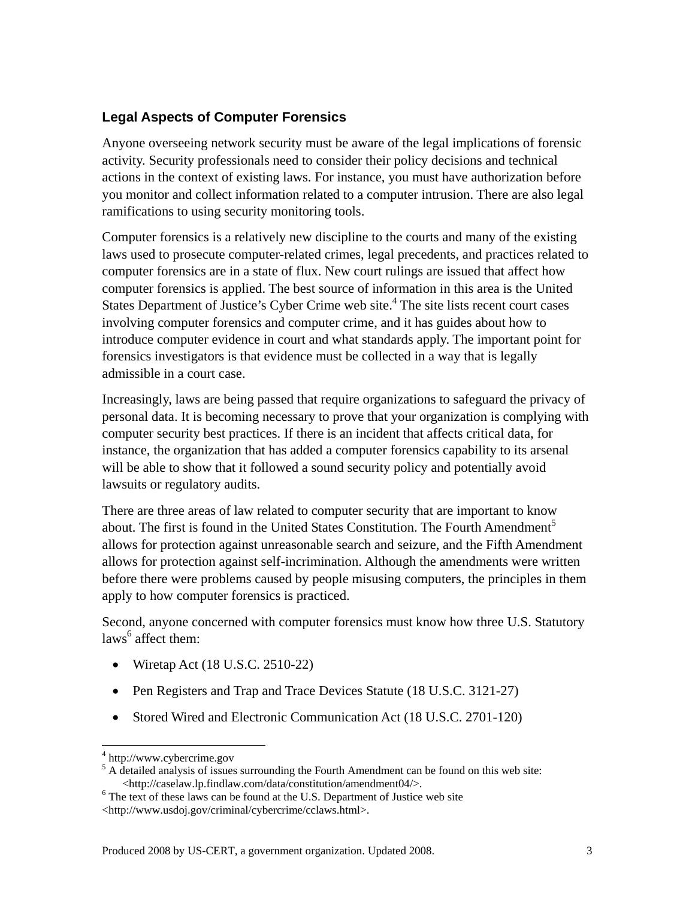# **Legal Aspects of Computer Forensics**

Anyone overseeing network security must be aware of the legal implications of forensic activity. Security professionals need to consider their policy decisions and technical actions in the context of existing laws. For instance, you must have authorization before you monitor and collect information related to a computer intrusion. There are also legal ramifications to using security monitoring tools.

Computer forensics is a relatively new discipline to the courts and many of the existing laws used to prosecute computer-related crimes, legal precedents, and practices related to computer forensics are in a state of flux. New court rulings are issued that affect how computer forensics is applied. The best source of information in this area is the United States Department of Justice's Cyber Crime web site.<sup>4</sup> The site lists recent court cases involving computer forensics and computer crime, and it has guides about how to introduce computer evidence in court and what standards apply. The important point for forensics investigators is that evidence must be collected in a way that is legally admissible in a court case.

Increasingly, laws are being passed that require organizations to safeguard the privacy of personal data. It is becoming necessary to prove that your organization is complying with computer security best practices. If there is an incident that affects critical data, for instance, the organization that has added a computer forensics capability to its arsenal will be able to show that it followed a sound security policy and potentially avoid lawsuits or regulatory audits.

There are three areas of law related to computer security that are important to know about. The first is found in the United States Constitution. The Fourth Amendment<sup>5</sup> allows for protection against unreasonable search and seizure, and the Fifth Amendment allows for protection against self-incrimination. Although the amendments were written before there were problems caused by people misusing computers, the principles in them apply to how computer forensics is practiced.

Second, anyone concerned with computer forensics must know how three U.S. Statutory laws<sup>6</sup> affect them:

- Wiretap Act (18 U.S.C. 2510-22)
- Pen Registers and Trap and Trace Devices Statute (18 U.S.C. 3121-27)
- Stored Wired and Electronic Communication Act (18 U.S.C. 2701-120)

 $\overline{a}$ 

<sup>4</sup> http://www.cybercrime.gov

<sup>&</sup>lt;sup>4</sup> http://www.cybercrime.gov<br><sup>5</sup> A detailed analysis of issues surrounding the Fourth Amendment can be found on this web site: <http://caselaw.lp.findlaw.com/data/constitution/amendment04/>.

 $6$  The text of these laws can be found at the U.S. Department of Justice web site <http://www.usdoj.gov/criminal/cybercrime/cclaws.html>.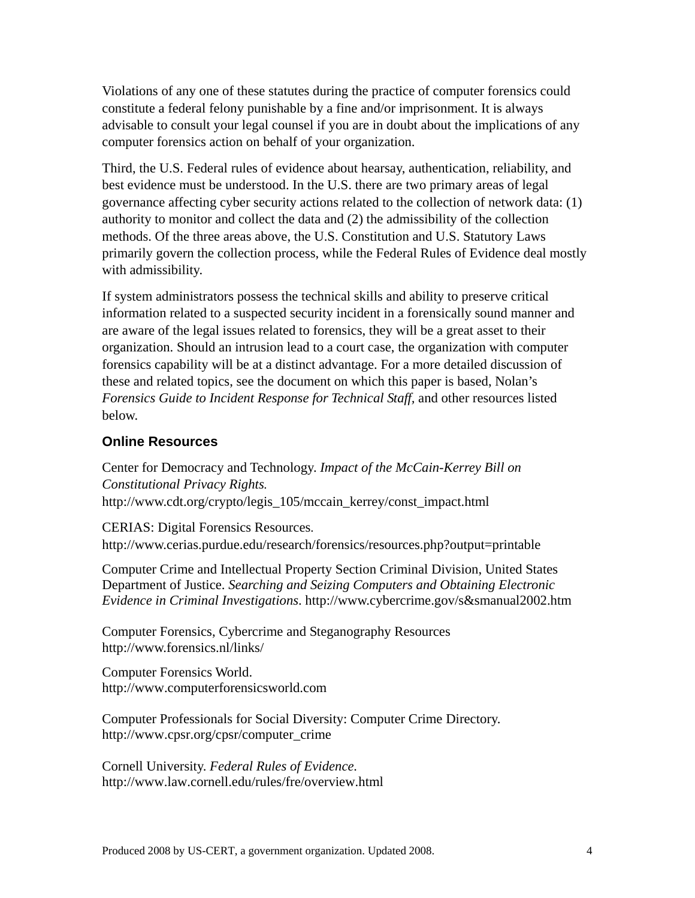Violations of any one of these statutes during the practice of computer forensics could constitute a federal felony punishable by a fine and/or imprisonment. It is always advisable to consult your legal counsel if you are in doubt about the implications of any computer forensics action on behalf of your organization.

Third, the U.S. Federal rules of evidence about hearsay, authentication, reliability, and best evidence must be understood. In the U.S. there are two primary areas of legal governance affecting cyber security actions related to the collection of network data: (1) authority to monitor and collect the data and (2) the admissibility of the collection methods. Of the three areas above, the U.S. Constitution and U.S. Statutory Laws primarily govern the collection process, while the Federal Rules of Evidence deal mostly with admissibility.

If system administrators possess the technical skills and ability to preserve critical information related to a suspected security incident in a forensically sound manner and are aware of the legal issues related to forensics, they will be a great asset to their organization. Should an intrusion lead to a court case, the organization with computer forensics capability will be at a distinct advantage. For a more detailed discussion of these and related topics, see the document on which this paper is based, Nolan's *Forensics Guide to Incident Response for Technical Staff,* and other resources listed below.

#### **Online Resources**

Center for Democracy and Technology. *Impact of the McCain-Kerrey Bill on Constitutional Privacy Rights.*  http://www.cdt.org/crypto/legis\_105/mccain\_kerrey/const\_impact.html

CERIAS: Digital Forensics Resources. http://www.cerias.purdue.edu/research/forensics/resources.php?output=printable

Computer Crime and Intellectual Property Section Criminal Division, United States Department of Justice. *Searching and Seizing Computers and Obtaining Electronic Evidence in Criminal Investigations*. http://www.cybercrime.gov/s&smanual2002.htm

Computer Forensics, Cybercrime and Steganography Resources http://www.forensics.nl/links/

http://www.computerforensicsworld.com Computer Forensics World.

Computer Professionals for Social Diversity: Computer Crime Directory. http://www.cpsr.org/cpsr/computer\_crime

Cornell University. *Federal Rules of Evidence.*  http://www.law.cornell.edu/rules/fre/overview.html